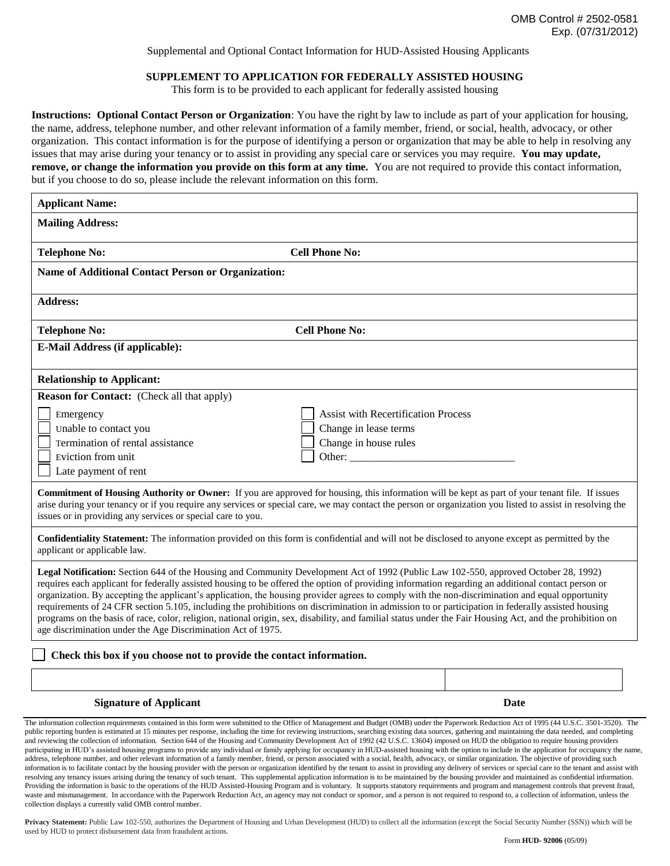Supplemental and Optional Contact Information for HUD-Assisted Housing Applicants

## **SUPPLEMENT TO APPLICATION FOR FEDERALLY ASSISTED HOUSING**

This form is to be provided to each applicant for federally assisted housing

**Instructions: Optional Contact Person or Organization**: You have the right by law to include as part of your application for housing, the name, address, telephone number, and other relevant information of a family member, friend, or social, health, advocacy, or other organization. This contact information is for the purpose of identifying a person or organization that may be able to help in resolving any issues that may arise during your tenancy or to assist in providing any special care or services you may require. **You may update, remove, or change the information you provide on this form at any time.** You are not required to provide this contact information, but if you choose to do so, please include the relevant information on this form.

| <b>Mailing Address:</b><br><b>Telephone No:</b><br><b>Name of Additional Contact Person or Organization:</b> | <b>Cell Phone No:</b>                                                                                                                                                                                                                                                                                                                                                                                                                                                                                                                                                                                                                                                                                                                                          |
|--------------------------------------------------------------------------------------------------------------|----------------------------------------------------------------------------------------------------------------------------------------------------------------------------------------------------------------------------------------------------------------------------------------------------------------------------------------------------------------------------------------------------------------------------------------------------------------------------------------------------------------------------------------------------------------------------------------------------------------------------------------------------------------------------------------------------------------------------------------------------------------|
|                                                                                                              |                                                                                                                                                                                                                                                                                                                                                                                                                                                                                                                                                                                                                                                                                                                                                                |
|                                                                                                              |                                                                                                                                                                                                                                                                                                                                                                                                                                                                                                                                                                                                                                                                                                                                                                |
|                                                                                                              |                                                                                                                                                                                                                                                                                                                                                                                                                                                                                                                                                                                                                                                                                                                                                                |
| <b>Address:</b>                                                                                              |                                                                                                                                                                                                                                                                                                                                                                                                                                                                                                                                                                                                                                                                                                                                                                |
| <b>Telephone No:</b>                                                                                         | <b>Cell Phone No:</b>                                                                                                                                                                                                                                                                                                                                                                                                                                                                                                                                                                                                                                                                                                                                          |
| E-Mail Address (if applicable):                                                                              |                                                                                                                                                                                                                                                                                                                                                                                                                                                                                                                                                                                                                                                                                                                                                                |
| <b>Relationship to Applicant:</b>                                                                            |                                                                                                                                                                                                                                                                                                                                                                                                                                                                                                                                                                                                                                                                                                                                                                |
| <b>Reason for Contact:</b> (Check all that apply)                                                            |                                                                                                                                                                                                                                                                                                                                                                                                                                                                                                                                                                                                                                                                                                                                                                |
| Emergency                                                                                                    | <b>Assist with Recertification Process</b>                                                                                                                                                                                                                                                                                                                                                                                                                                                                                                                                                                                                                                                                                                                     |
| Unable to contact you                                                                                        | Change in lease terms                                                                                                                                                                                                                                                                                                                                                                                                                                                                                                                                                                                                                                                                                                                                          |
| Termination of rental assistance                                                                             | Change in house rules                                                                                                                                                                                                                                                                                                                                                                                                                                                                                                                                                                                                                                                                                                                                          |
| Eviction from unit                                                                                           | Other:                                                                                                                                                                                                                                                                                                                                                                                                                                                                                                                                                                                                                                                                                                                                                         |
| Late payment of rent                                                                                         |                                                                                                                                                                                                                                                                                                                                                                                                                                                                                                                                                                                                                                                                                                                                                                |
| issues or in providing any services or special care to you.                                                  | <b>Commitment of Housing Authority or Owner:</b> If you are approved for housing, this information will be kept as part of your tenant file. If issues<br>arise during your tenancy or if you require any services or special care, we may contact the person or organization you listed to assist in resolving the                                                                                                                                                                                                                                                                                                                                                                                                                                            |
| applicant or applicable law.                                                                                 | Confidentiality Statement: The information provided on this form is confidential and will not be disclosed to anyone except as permitted by the                                                                                                                                                                                                                                                                                                                                                                                                                                                                                                                                                                                                                |
| age discrimination under the Age Discrimination Act of 1975.                                                 | Legal Notification: Section 644 of the Housing and Community Development Act of 1992 (Public Law 102-550, approved October 28, 1992)<br>requires each applicant for federally assisted housing to be offered the option of providing information regarding an additional contact person or<br>organization. By accepting the applicant's application, the housing provider agrees to comply with the non-discrimination and equal opportunity<br>requirements of 24 CFR section 5.105, including the prohibitions on discrimination in admission to or participation in federally assisted housing<br>programs on the basis of race, color, religion, national origin, sex, disability, and familial status under the Fair Housing Act, and the prohibition on |
| Check this box if you choose not to provide the contact information.                                         |                                                                                                                                                                                                                                                                                                                                                                                                                                                                                                                                                                                                                                                                                                                                                                |
| <b>Signature of Applicant</b>                                                                                | Date                                                                                                                                                                                                                                                                                                                                                                                                                                                                                                                                                                                                                                                                                                                                                           |

public reporting burden is estimated at 15 minutes per response, including the time for reviewing instructions, searching existing data sources, gathering and maintaining the data needed, and completing and reviewing the collection of information. Section 644 of the Housing and Community Development Act of 1992 (42 U.S.C. 13604) imposed on HUD the obligation to require housing providers participating in HUD's assisted housing programs to provide any individual or family applying for occupancy in HUD-assisted housing with the option to include in the application for occupancy the name, address, telephone number, and other relevant information of a family member, friend, or person associated with a social, health, advocacy, or similar organization. The objective of providing such information is to facilitate contact by the housing provider with the person or organization identified by the tenant to assist in providing any delivery of services or special care to the tenant and assist with resolving any tenancy issues arising during the tenancy of such tenant. This supplemental application information is to be maintained by the housing provider and maintained as confidential information. Providing the information is basic to the operations of the HUD Assisted-Housing Program and is voluntary. It supports statutory requirements and program and management controls that prevent fraud, waste and mismanagement. In accordance with the Paperwork Reduction Act, an agency may not conduct or sponsor, and a person is not required to respond to, a collection of information, unless the collection displays a currently valid OMB control number.

Privacy Statement: Public Law 102-550, authorizes the Department of Housing and Urban Development (HUD) to collect all the information (except the Social Security Number (SSN)) which will be used by HUD to protect disbursement data from fraudulent actions.